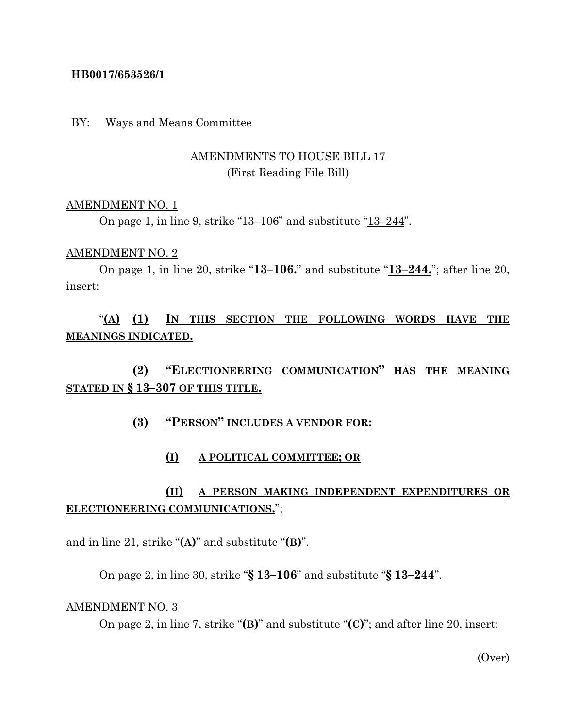## **HB0017/653526/1**

BY: Ways and Means Committee

## AMENDMENTS TO HOUSE BILL 17 (First Reading File Bill)

### AMENDMENT NO. 1

On page 1, in line 9, strike "13–106" and substitute "13–244".

#### AMENDMENT NO. 2

On page 1, in line 20, strike "**13–106.**" and substitute "**13–244.**"; after line 20, insert:

"**(A) (1) IN THIS SECTION THE FOLLOWING WORDS HAVE THE MEANINGS INDICATED.**

**(2) "ELECTIONEERING COMMUNICATION" HAS THE MEANING STATED IN § 13–307 OF THIS TITLE.**

## **(3) "PERSON" INCLUDES A VENDOR FOR:**

#### **(I) A POLITICAL COMMITTEE; OR**

# **(II) A PERSON MAKING INDEPENDENT EXPENDITURES OR ELECTIONEERING COMMUNICATIONS.**";

and in line 21, strike "**(A)**" and substitute "**(B)**".

On page 2, in line 30, strike "**§ 13–106**" and substitute "**§ 13–244**".

#### AMENDMENT NO. 3

On page 2, in line 7, strike "**(B)**" and substitute "**(C)**"; and after line 20, insert:

(Over)